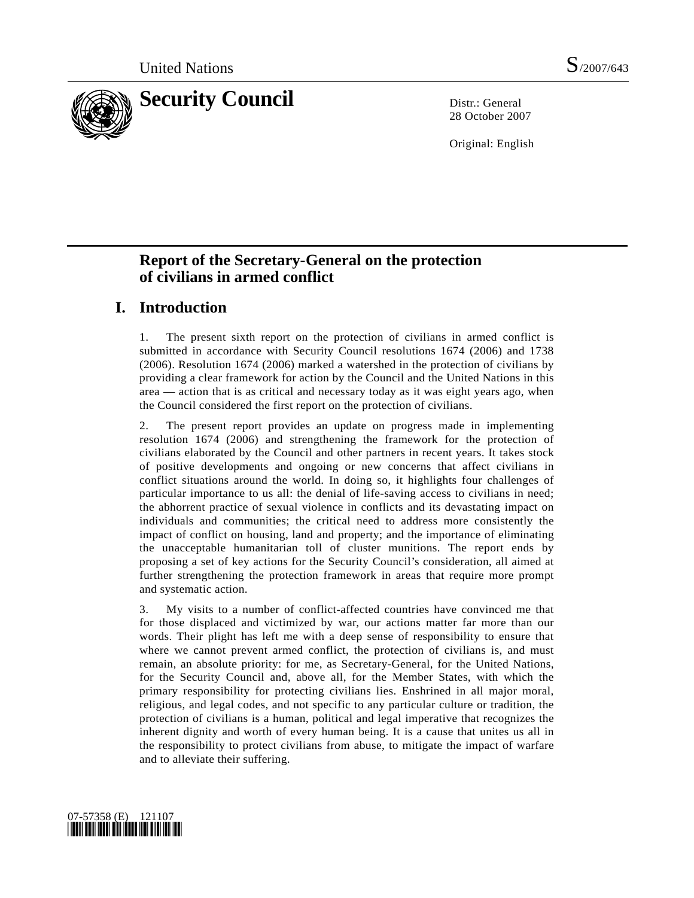

28 October 2007

Original: English

# **Report of the Secretary-General on the protection of civilians in armed conflict**

# **I. Introduction**

1. The present sixth report on the protection of civilians in armed conflict is submitted in accordance with Security Council resolutions 1674 (2006) and 1738 (2006). Resolution 1674 (2006) marked a watershed in the protection of civilians by providing a clear framework for action by the Council and the United Nations in this area — action that is as critical and necessary today as it was eight years ago, when the Council considered the first report on the protection of civilians.

2. The present report provides an update on progress made in implementing resolution 1674 (2006) and strengthening the framework for the protection of civilians elaborated by the Council and other partners in recent years. It takes stock of positive developments and ongoing or new concerns that affect civilians in conflict situations around the world. In doing so, it highlights four challenges of particular importance to us all: the denial of life-saving access to civilians in need; the abhorrent practice of sexual violence in conflicts and its devastating impact on individuals and communities; the critical need to address more consistently the impact of conflict on housing, land and property; and the importance of eliminating the unacceptable humanitarian toll of cluster munitions. The report ends by proposing a set of key actions for the Security Council's consideration, all aimed at further strengthening the protection framework in areas that require more prompt and systematic action.

3. My visits to a number of conflict-affected countries have convinced me that for those displaced and victimized by war, our actions matter far more than our words. Their plight has left me with a deep sense of responsibility to ensure that where we cannot prevent armed conflict, the protection of civilians is, and must remain, an absolute priority: for me, as Secretary-General, for the United Nations, for the Security Council and, above all, for the Member States, with which the primary responsibility for protecting civilians lies. Enshrined in all major moral, religious, and legal codes, and not specific to any particular culture or tradition, the protection of civilians is a human, political and legal imperative that recognizes the inherent dignity and worth of every human being. It is a cause that unites us all in the responsibility to protect civilians from abuse, to mitigate the impact of warfare and to alleviate their suffering.

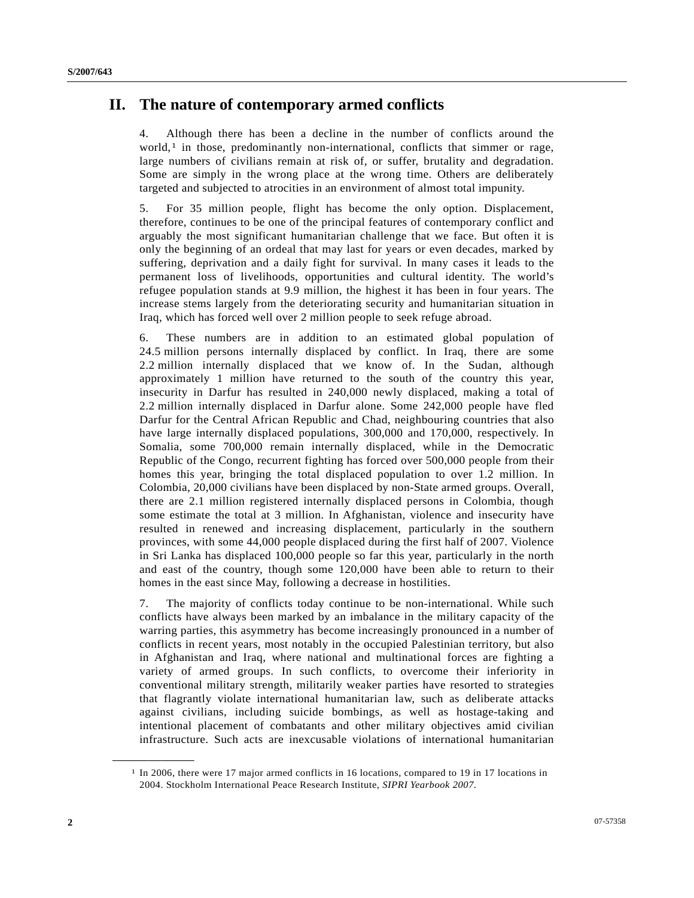# **II. The nature of contemporary armed conflicts**

4. Although there has been a decline in the number of conflicts around the world, $1$  in those, predominantly non-international, conflicts that simmer or rage, large numbers of civilians remain at risk of, or suffer, brutality and degradation. Some are simply in the wrong place at the wrong time. Others are deliberately targeted and subjected to atrocities in an environment of almost total impunity.

5. For 35 million people, flight has become the only option. Displacement, therefore, continues to be one of the principal features of contemporary conflict and arguably the most significant humanitarian challenge that we face. But often it is only the beginning of an ordeal that may last for years or even decades, marked by suffering, deprivation and a daily fight for survival. In many cases it leads to the permanent loss of livelihoods, opportunities and cultural identity. The world's refugee population stands at 9.9 million, the highest it has been in four years. The increase stems largely from the deteriorating security and humanitarian situation in Iraq, which has forced well over 2 million people to seek refuge abroad.

6. These numbers are in addition to an estimated global population of 24.5 million persons internally displaced by conflict. In Iraq, there are some 2.2 million internally displaced that we know of. In the Sudan, although approximately 1 million have returned to the south of the country this year, insecurity in Darfur has resulted in 240,000 newly displaced, making a total of 2.2 million internally displaced in Darfur alone. Some 242,000 people have fled Darfur for the Central African Republic and Chad, neighbouring countries that also have large internally displaced populations, 300,000 and 170,000, respectively. In Somalia, some 700,000 remain internally displaced, while in the Democratic Republic of the Congo, recurrent fighting has forced over 500,000 people from their homes this year, bringing the total displaced population to over 1.2 million. In Colombia, 20,000 civilians have been displaced by non-State armed groups. Overall, there are 2.1 million registered internally displaced persons in Colombia, though some estimate the total at 3 million. In Afghanistan, violence and insecurity have resulted in renewed and increasing displacement, particularly in the southern provinces, with some 44,000 people displaced during the first half of 2007. Violence in Sri Lanka has displaced 100,000 people so far this year, particularly in the north and east of the country, though some 120,000 have been able to return to their homes in the east since May, following a decrease in hostilities.

7. The majority of conflicts today continue to be non-international. While such conflicts have always been marked by an imbalance in the military capacity of the warring parties, this asymmetry has become increasingly pronounced in a number of conflicts in recent years, most notably in the occupied Palestinian territory, but also in Afghanistan and Iraq, where national and multinational forces are fighting a variety of armed groups. In such conflicts, to overcome their inferiority in conventional military strength, militarily weaker parties have resorted to strategies that flagrantly violate international humanitarian law, such as deliberate attacks against civilians, including suicide bombings, as well as hostage-taking and intentional placement of combatants and other military objectives amid civilian infrastructure. Such acts are inexcusable violations of international humanitarian

<span id="page-1-0"></span><sup>1</sup> In 2006, there were 17 major armed conflicts in 16 locations, compared to 19 in 17 locations in 2004. Stockholm International Peace Research Institute, *SIPRI Yearbook 2007*.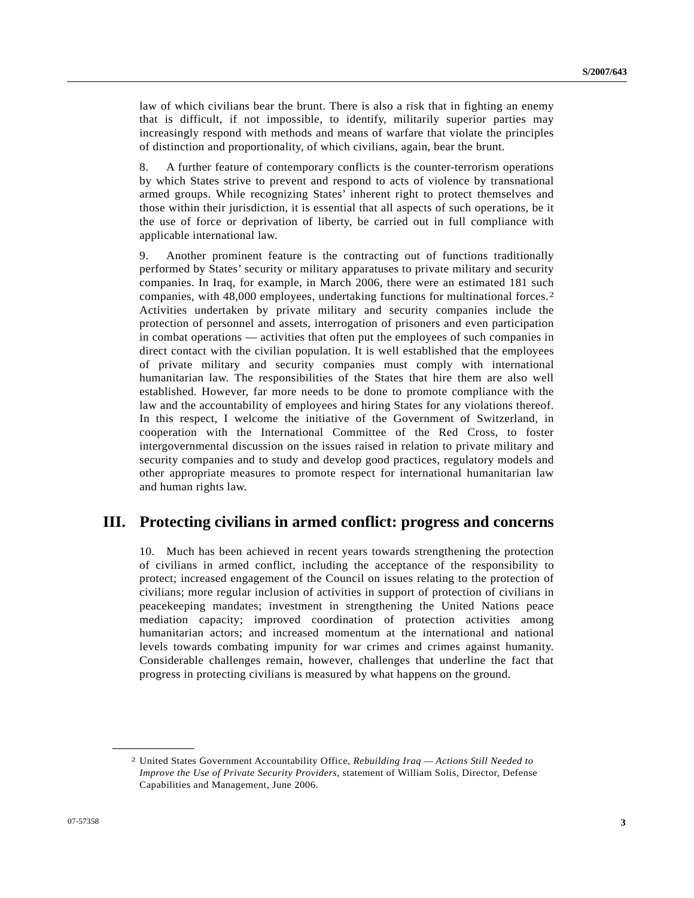law of which civilians bear the brunt. There is also a risk that in fighting an enemy that is difficult, if not impossible, to identify, militarily superior parties may increasingly respond with methods and means of warfare that violate the principles of distinction and proportionality, of which civilians, again, bear the brunt.

8. A further feature of contemporary conflicts is the counter-terrorism operations by which States strive to prevent and respond to acts of violence by transnational armed groups. While recognizing States' inherent right to protect themselves and those within their jurisdiction, it is essential that all aspects of such operations, be it the use of force or deprivation of liberty, be carried out in full compliance with applicable international law.

9. Another prominent feature is the contracting out of functions traditionally performed by States' security or military apparatuses to private military and security companies. In Iraq, for example, in March 2006, there were an estimated 181 such companies, with 48,000 employees, undertaking functions for multinational forces.[2](#page-2-0) Activities undertaken by private military and security companies include the protection of personnel and assets, interrogation of prisoners and even participation in combat operations — activities that often put the employees of such companies in direct contact with the civilian population. It is well established that the employees of private military and security companies must comply with international humanitarian law. The responsibilities of the States that hire them are also well established. However, far more needs to be done to promote compliance with the law and the accountability of employees and hiring States for any violations thereof. In this respect, I welcome the initiative of the Government of Switzerland, in cooperation with the International Committee of the Red Cross, to foster intergovernmental discussion on the issues raised in relation to private military and security companies and to study and develop good practices, regulatory models and other appropriate measures to promote respect for international humanitarian law and human rights law.

# **III. Protecting civilians in armed conflict: progress and concerns**

10. Much has been achieved in recent years towards strengthening the protection of civilians in armed conflict, including the acceptance of the responsibility to protect; increased engagement of the Council on issues relating to the protection of civilians; more regular inclusion of activities in support of protection of civilians in peacekeeping mandates; investment in strengthening the United Nations peace mediation capacity; improved coordination of protection activities among humanitarian actors; and increased momentum at the international and national levels towards combating impunity for war crimes and crimes against humanity. Considerable challenges remain, however, challenges that underline the fact that progress in protecting civilians is measured by what happens on the ground.

<span id="page-2-0"></span><sup>2</sup> United States Government Accountability Office, *Rebuilding Iraq — Actions Still Needed to Improve the Use of Private Security Providers*, statement of William Solis, Director, Defense Capabilities and Management, June 2006.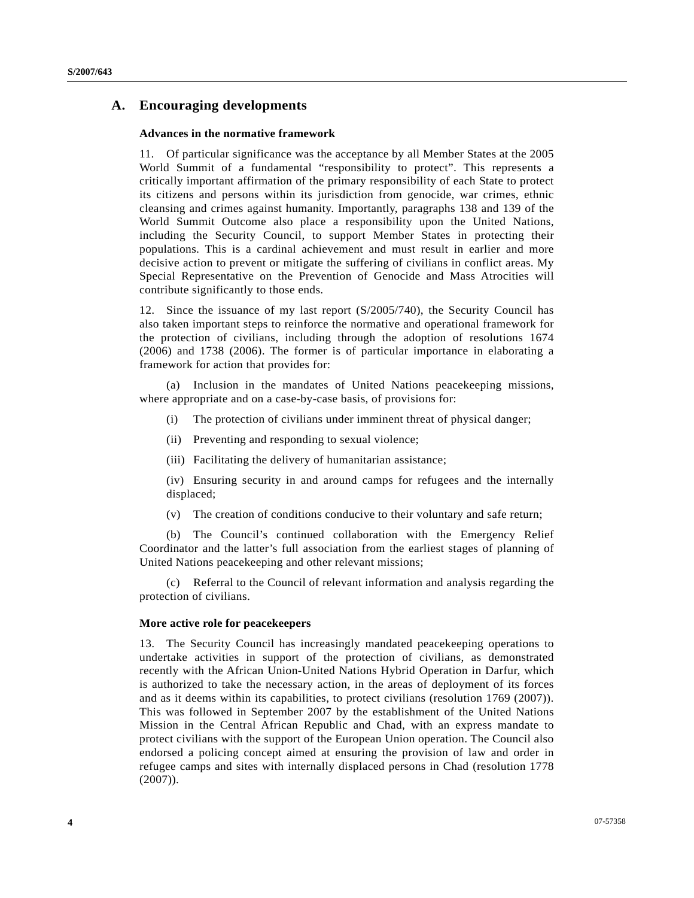# **A. Encouraging developments**

#### **Advances in the normative framework**

11. Of particular significance was the acceptance by all Member States at the 2005 World Summit of a fundamental "responsibility to protect". This represents a critically important affirmation of the primary responsibility of each State to protect its citizens and persons within its jurisdiction from genocide, war crimes, ethnic cleansing and crimes against humanity. Importantly, paragraphs 138 and 139 of the World Summit Outcome also place a responsibility upon the United Nations, including the Security Council, to support Member States in protecting their populations. This is a cardinal achievement and must result in earlier and more decisive action to prevent or mitigate the suffering of civilians in conflict areas. My Special Representative on the Prevention of Genocide and Mass Atrocities will contribute significantly to those ends.

12. Since the issuance of my last report (S/2005/740), the Security Council has also taken important steps to reinforce the normative and operational framework for the protection of civilians, including through the adoption of resolutions 1674 (2006) and 1738 (2006). The former is of particular importance in elaborating a framework for action that provides for:

 (a) Inclusion in the mandates of United Nations peacekeeping missions, where appropriate and on a case-by-case basis, of provisions for:

- (i) The protection of civilians under imminent threat of physical danger;
- (ii) Preventing and responding to sexual violence;
- (iii) Facilitating the delivery of humanitarian assistance;

 (iv) Ensuring security in and around camps for refugees and the internally displaced;

(v) The creation of conditions conducive to their voluntary and safe return;

 (b) The Council's continued collaboration with the Emergency Relief Coordinator and the latter's full association from the earliest stages of planning of United Nations peacekeeping and other relevant missions;

 (c) Referral to the Council of relevant information and analysis regarding the protection of civilians.

### **More active role for peacekeepers**

13. The Security Council has increasingly mandated peacekeeping operations to undertake activities in support of the protection of civilians, as demonstrated recently with the African Union-United Nations Hybrid Operation in Darfur, which is authorized to take the necessary action, in the areas of deployment of its forces and as it deems within its capabilities, to protect civilians (resolution 1769 (2007)). This was followed in September 2007 by the establishment of the United Nations Mission in the Central African Republic and Chad, with an express mandate to protect civilians with the support of the European Union operation. The Council also endorsed a policing concept aimed at ensuring the provision of law and order in refugee camps and sites with internally displaced persons in Chad (resolution 1778  $(2007)$ ).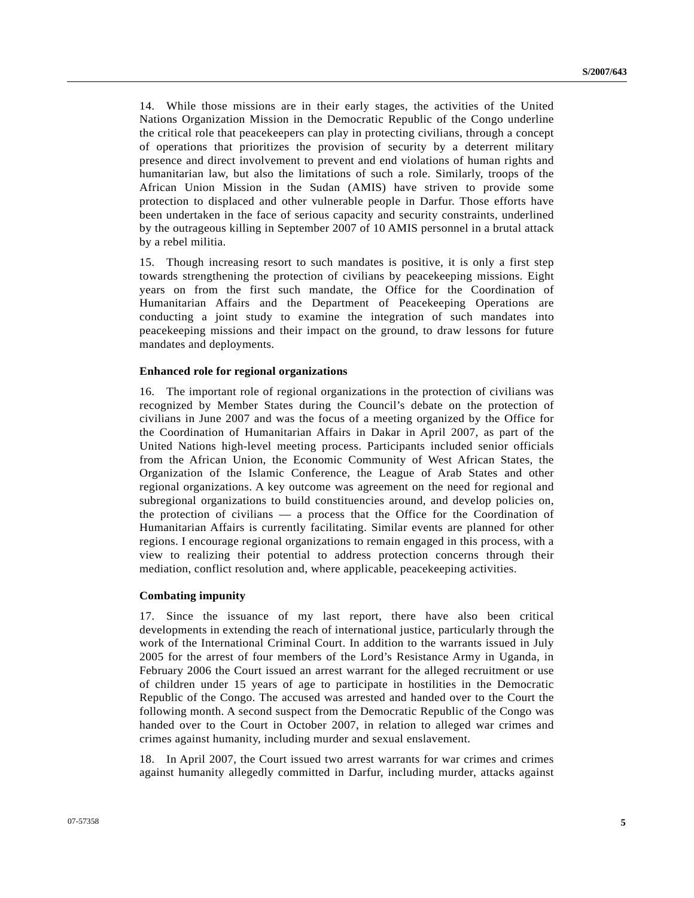14. While those missions are in their early stages, the activities of the United Nations Organization Mission in the Democratic Republic of the Congo underline the critical role that peacekeepers can play in protecting civilians, through a concept of operations that prioritizes the provision of security by a deterrent military presence and direct involvement to prevent and end violations of human rights and humanitarian law, but also the limitations of such a role. Similarly, troops of the African Union Mission in the Sudan (AMIS) have striven to provide some protection to displaced and other vulnerable people in Darfur. Those efforts have been undertaken in the face of serious capacity and security constraints, underlined by the outrageous killing in September 2007 of 10 AMIS personnel in a brutal attack by a rebel militia.

15. Though increasing resort to such mandates is positive, it is only a first step towards strengthening the protection of civilians by peacekeeping missions. Eight years on from the first such mandate, the Office for the Coordination of Humanitarian Affairs and the Department of Peacekeeping Operations are conducting a joint study to examine the integration of such mandates into peacekeeping missions and their impact on the ground, to draw lessons for future mandates and deployments.

#### **Enhanced role for regional organizations**

16. The important role of regional organizations in the protection of civilians was recognized by Member States during the Council's debate on the protection of civilians in June 2007 and was the focus of a meeting organized by the Office for the Coordination of Humanitarian Affairs in Dakar in April 2007, as part of the United Nations high-level meeting process. Participants included senior officials from the African Union, the Economic Community of West African States, the Organization of the Islamic Conference, the League of Arab States and other regional organizations. A key outcome was agreement on the need for regional and subregional organizations to build constituencies around, and develop policies on, the protection of civilians — a process that the Office for the Coordination of Humanitarian Affairs is currently facilitating. Similar events are planned for other regions. I encourage regional organizations to remain engaged in this process, with a view to realizing their potential to address protection concerns through their mediation, conflict resolution and, where applicable, peacekeeping activities.

#### **Combating impunity**

17. Since the issuance of my last report, there have also been critical developments in extending the reach of international justice, particularly through the work of the International Criminal Court. In addition to the warrants issued in July 2005 for the arrest of four members of the Lord's Resistance Army in Uganda, in February 2006 the Court issued an arrest warrant for the alleged recruitment or use of children under 15 years of age to participate in hostilities in the Democratic Republic of the Congo. The accused was arrested and handed over to the Court the following month. A second suspect from the Democratic Republic of the Congo was handed over to the Court in October 2007, in relation to alleged war crimes and crimes against humanity, including murder and sexual enslavement.

18. In April 2007, the Court issued two arrest warrants for war crimes and crimes against humanity allegedly committed in Darfur, including murder, attacks against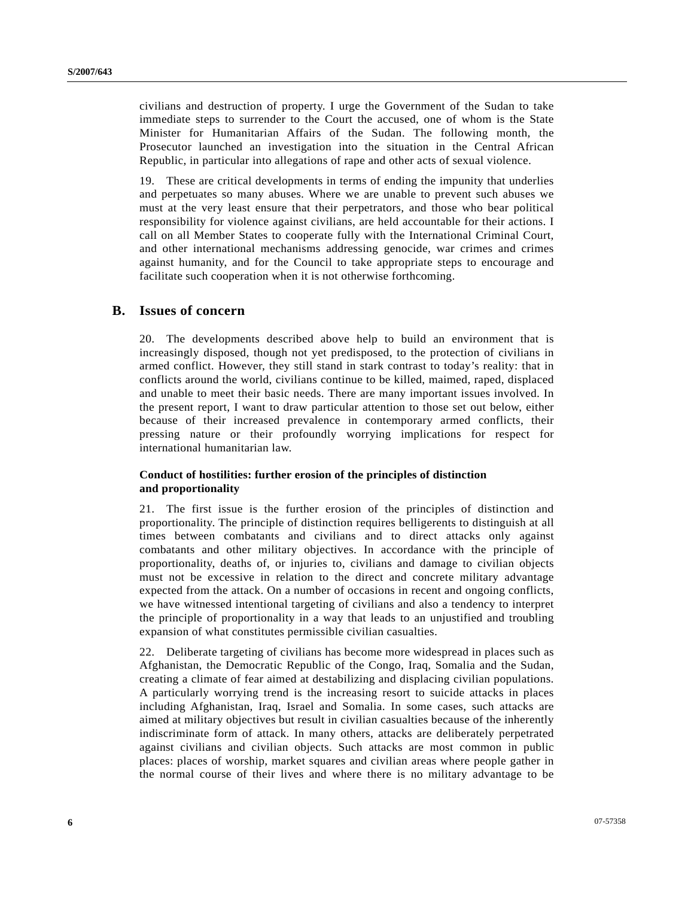civilians and destruction of property. I urge the Government of the Sudan to take immediate steps to surrender to the Court the accused, one of whom is the State Minister for Humanitarian Affairs of the Sudan. The following month, the Prosecutor launched an investigation into the situation in the Central African Republic, in particular into allegations of rape and other acts of sexual violence.

19. These are critical developments in terms of ending the impunity that underlies and perpetuates so many abuses. Where we are unable to prevent such abuses we must at the very least ensure that their perpetrators, and those who bear political responsibility for violence against civilians, are held accountable for their actions. I call on all Member States to cooperate fully with the International Criminal Court, and other international mechanisms addressing genocide, war crimes and crimes against humanity, and for the Council to take appropriate steps to encourage and facilitate such cooperation when it is not otherwise forthcoming.

## **B. Issues of concern**

20. The developments described above help to build an environment that is increasingly disposed, though not yet predisposed, to the protection of civilians in armed conflict. However, they still stand in stark contrast to today's reality: that in conflicts around the world, civilians continue to be killed, maimed, raped, displaced and unable to meet their basic needs. There are many important issues involved. In the present report, I want to draw particular attention to those set out below, either because of their increased prevalence in contemporary armed conflicts, their pressing nature or their profoundly worrying implications for respect for international humanitarian law.

### **Conduct of hostilities: further erosion of the principles of distinction and proportionality**

21. The first issue is the further erosion of the principles of distinction and proportionality. The principle of distinction requires belligerents to distinguish at all times between combatants and civilians and to direct attacks only against combatants and other military objectives. In accordance with the principle of proportionality, deaths of, or injuries to, civilians and damage to civilian objects must not be excessive in relation to the direct and concrete military advantage expected from the attack. On a number of occasions in recent and ongoing conflicts, we have witnessed intentional targeting of civilians and also a tendency to interpret the principle of proportionality in a way that leads to an unjustified and troubling expansion of what constitutes permissible civilian casualties.

22. Deliberate targeting of civilians has become more widespread in places such as Afghanistan, the Democratic Republic of the Congo, Iraq, Somalia and the Sudan, creating a climate of fear aimed at destabilizing and displacing civilian populations. A particularly worrying trend is the increasing resort to suicide attacks in places including Afghanistan, Iraq, Israel and Somalia. In some cases, such attacks are aimed at military objectives but result in civilian casualties because of the inherently indiscriminate form of attack. In many others, attacks are deliberately perpetrated against civilians and civilian objects. Such attacks are most common in public places: places of worship, market squares and civilian areas where people gather in the normal course of their lives and where there is no military advantage to be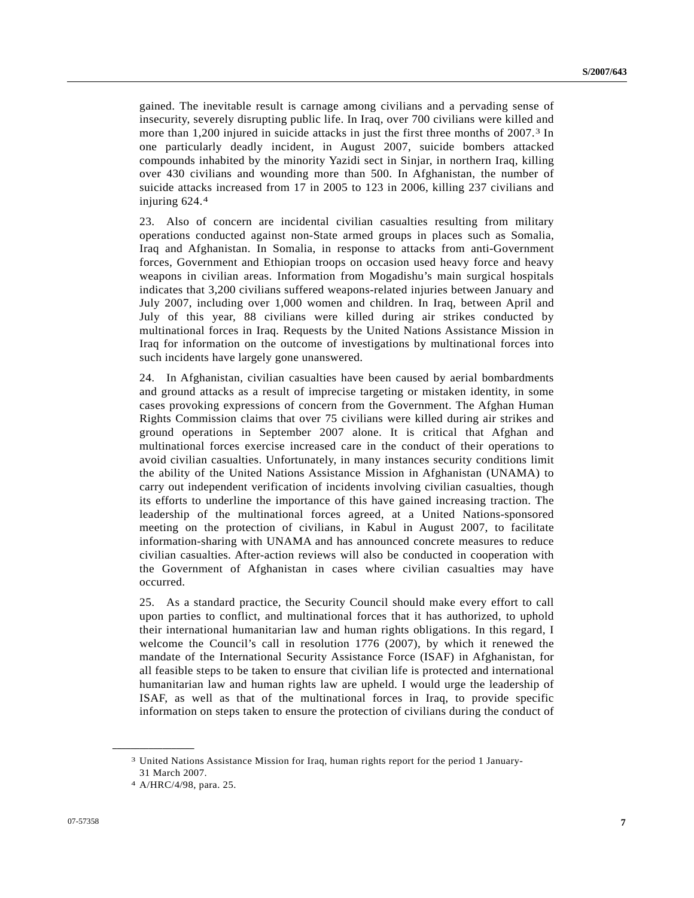gained. The inevitable result is carnage among civilians and a pervading sense of insecurity, severely disrupting public life. In Iraq, over 700 civilians were killed and more than 1,200 injured in suicide attacks in just the first three months of 2007.<sup>3</sup> In one particularly deadly incident, in August 2007, suicide bombers attacked compounds inhabited by the minority Yazidi sect in Sinjar, in northern Iraq, killing over 430 civilians and wounding more than 500. In Afghanistan, the number of suicide attacks increased from 17 in 2005 to 123 in 2006, killing 237 civilians and injuring 624.[4](#page-6-1) 

23. Also of concern are incidental civilian casualties resulting from military operations conducted against non-State armed groups in places such as Somalia, Iraq and Afghanistan. In Somalia, in response to attacks from anti-Government forces, Government and Ethiopian troops on occasion used heavy force and heavy weapons in civilian areas. Information from Mogadishu's main surgical hospitals indicates that 3,200 civilians suffered weapons-related injuries between January and July 2007, including over 1,000 women and children. In Iraq, between April and July of this year, 88 civilians were killed during air strikes conducted by multinational forces in Iraq. Requests by the United Nations Assistance Mission in Iraq for information on the outcome of investigations by multinational forces into such incidents have largely gone unanswered.

24. In Afghanistan, civilian casualties have been caused by aerial bombardments and ground attacks as a result of imprecise targeting or mistaken identity, in some cases provoking expressions of concern from the Government. The Afghan Human Rights Commission claims that over 75 civilians were killed during air strikes and ground operations in September 2007 alone. It is critical that Afghan and multinational forces exercise increased care in the conduct of their operations to avoid civilian casualties. Unfortunately, in many instances security conditions limit the ability of the United Nations Assistance Mission in Afghanistan (UNAMA) to carry out independent verification of incidents involving civilian casualties, though its efforts to underline the importance of this have gained increasing traction. The leadership of the multinational forces agreed, at a United Nations-sponsored meeting on the protection of civilians, in Kabul in August 2007, to facilitate information-sharing with UNAMA and has announced concrete measures to reduce civilian casualties. After-action reviews will also be conducted in cooperation with the Government of Afghanistan in cases where civilian casualties may have occurred.

25. As a standard practice, the Security Council should make every effort to call upon parties to conflict, and multinational forces that it has authorized, to uphold their international humanitarian law and human rights obligations. In this regard, I welcome the Council's call in resolution 1776 (2007), by which it renewed the mandate of the International Security Assistance Force (ISAF) in Afghanistan, for all feasible steps to be taken to ensure that civilian life is protected and international humanitarian law and human rights law are upheld. I would urge the leadership of ISAF, as well as that of the multinational forces in Iraq, to provide specific information on steps taken to ensure the protection of civilians during the conduct of

<span id="page-6-0"></span><sup>3</sup> United Nations Assistance Mission for Iraq, human rights report for the period 1 January-31 March 2007.

<span id="page-6-1"></span><sup>4</sup> A/HRC/4/98, para. 25.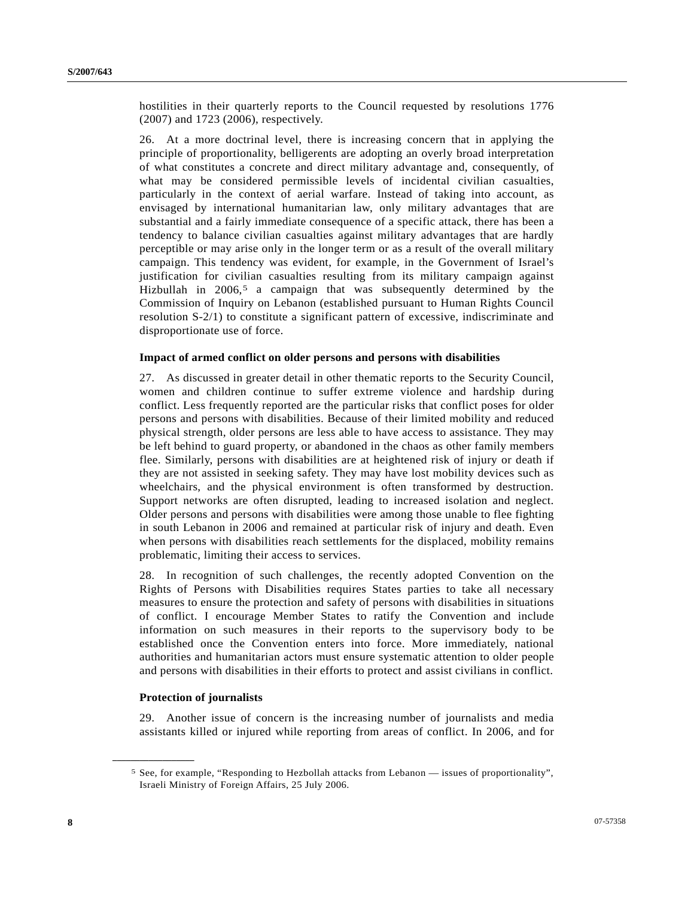hostilities in their quarterly reports to the Council requested by resolutions 1776 (2007) and 1723 (2006), respectively.

26. At a more doctrinal level, there is increasing concern that in applying the principle of proportionality, belligerents are adopting an overly broad interpretation of what constitutes a concrete and direct military advantage and, consequently, of what may be considered permissible levels of incidental civilian casualties, particularly in the context of aerial warfare. Instead of taking into account, as envisaged by international humanitarian law, only military advantages that are substantial and a fairly immediate consequence of a specific attack, there has been a tendency to balance civilian casualties against military advantages that are hardly perceptible or may arise only in the longer term or as a result of the overall military campaign. This tendency was evident, for example, in the Government of Israel's justification for civilian casualties resulting from its military campaign against Hizbullah in  $2006$ <sup>[5](#page-7-0)</sup> a campaign that was subsequently determined by the Commission of Inquiry on Lebanon (established pursuant to Human Rights Council resolution S-2/1) to constitute a significant pattern of excessive, indiscriminate and disproportionate use of force.

#### **Impact of armed conflict on older persons and persons with disabilities**

27. As discussed in greater detail in other thematic reports to the Security Council, women and children continue to suffer extreme violence and hardship during conflict. Less frequently reported are the particular risks that conflict poses for older persons and persons with disabilities. Because of their limited mobility and reduced physical strength, older persons are less able to have access to assistance. They may be left behind to guard property, or abandoned in the chaos as other family members flee. Similarly, persons with disabilities are at heightened risk of injury or death if they are not assisted in seeking safety. They may have lost mobility devices such as wheelchairs, and the physical environment is often transformed by destruction. Support networks are often disrupted, leading to increased isolation and neglect. Older persons and persons with disabilities were among those unable to flee fighting in south Lebanon in 2006 and remained at particular risk of injury and death. Even when persons with disabilities reach settlements for the displaced, mobility remains problematic, limiting their access to services.

28. In recognition of such challenges, the recently adopted Convention on the Rights of Persons with Disabilities requires States parties to take all necessary measures to ensure the protection and safety of persons with disabilities in situations of conflict. I encourage Member States to ratify the Convention and include information on such measures in their reports to the supervisory body to be established once the Convention enters into force. More immediately, national authorities and humanitarian actors must ensure systematic attention to older people and persons with disabilities in their efforts to protect and assist civilians in conflict.

### **Protection of journalists**

<span id="page-7-0"></span>**\_\_\_\_\_\_\_\_\_\_\_\_\_\_\_\_\_\_** 

29. Another issue of concern is the increasing number of journalists and media assistants killed or injured while reporting from areas of conflict. In 2006, and for

<sup>5</sup> See, for example, "Responding to Hezbollah attacks from Lebanon — issues of proportionality", Israeli Ministry of Foreign Affairs, 25 July 2006.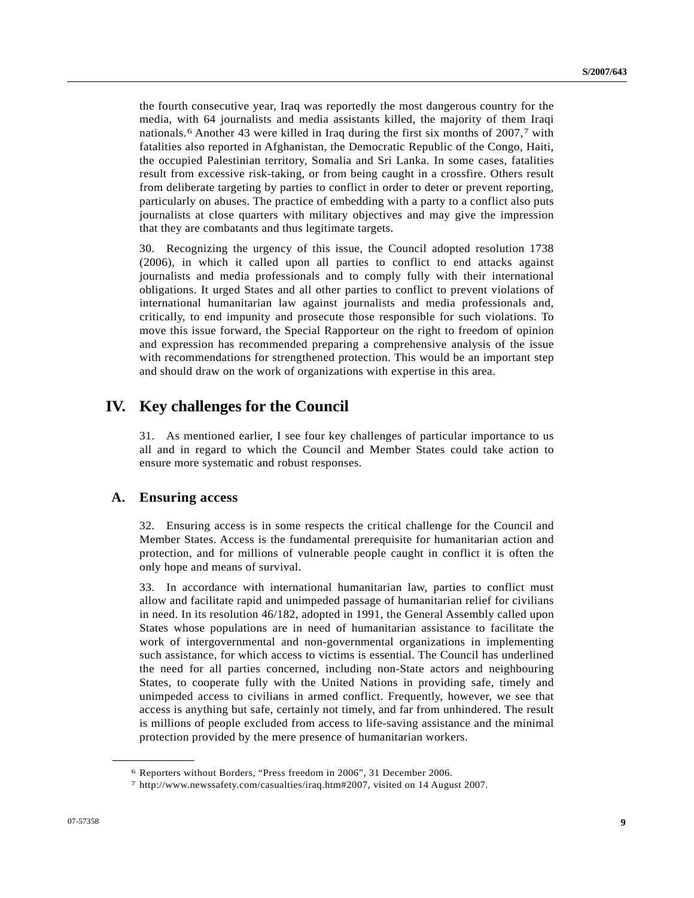the fourth consecutive year, Iraq was reportedly the most dangerous country for the media, with 64 journalists and media assistants killed, the majority of them Iraqi nationals.<sup>[6](#page-8-0)</sup> Another 43 were killed in Iraq during the first six months of 2007,<sup>7</sup> with fatalities also reported in Afghanistan, the Democratic Republic of the Congo, Haiti, the occupied Palestinian territory, Somalia and Sri Lanka. In some cases, fatalities result from excessive risk-taking, or from being caught in a crossfire. Others result from deliberate targeting by parties to conflict in order to deter or prevent reporting, particularly on abuses. The practice of embedding with a party to a conflict also puts journalists at close quarters with military objectives and may give the impression that they are combatants and thus legitimate targets.

30. Recognizing the urgency of this issue, the Council adopted resolution 1738 (2006), in which it called upon all parties to conflict to end attacks against journalists and media professionals and to comply fully with their international obligations. It urged States and all other parties to conflict to prevent violations of international humanitarian law against journalists and media professionals and, critically, to end impunity and prosecute those responsible for such violations. To move this issue forward, the Special Rapporteur on the right to freedom of opinion and expression has recommended preparing a comprehensive analysis of the issue with recommendations for strengthened protection. This would be an important step and should draw on the work of organizations with expertise in this area.

# **IV. Key challenges for the Council**

31. As mentioned earlier, I see four key challenges of particular importance to us all and in regard to which the Council and Member States could take action to ensure more systematic and robust responses.

## **A. Ensuring access**

<span id="page-8-1"></span><span id="page-8-0"></span>**\_\_\_\_\_\_\_\_\_\_\_\_\_\_\_\_\_\_** 

32. Ensuring access is in some respects the critical challenge for the Council and Member States. Access is the fundamental prerequisite for humanitarian action and protection, and for millions of vulnerable people caught in conflict it is often the only hope and means of survival.

33. In accordance with international humanitarian law, parties to conflict must allow and facilitate rapid and unimpeded passage of humanitarian relief for civilians in need. In its resolution 46/182, adopted in 1991, the General Assembly called upon States whose populations are in need of humanitarian assistance to facilitate the work of intergovernmental and non-governmental organizations in implementing such assistance, for which access to victims is essential. The Council has underlined the need for all parties concerned, including non-State actors and neighbouring States, to cooperate fully with the United Nations in providing safe, timely and unimpeded access to civilians in armed conflict. Frequently, however, we see that access is anything but safe, certainly not timely, and far from unhindered. The result is millions of people excluded from access to life-saving assistance and the minimal protection provided by the mere presence of humanitarian workers.

<sup>6</sup> Reporters without Borders, "Press freedom in 2006", 31 December 2006. 7 http://www.newssafety.com/casualties/iraq.htm#2007, visited on 14 August 2007.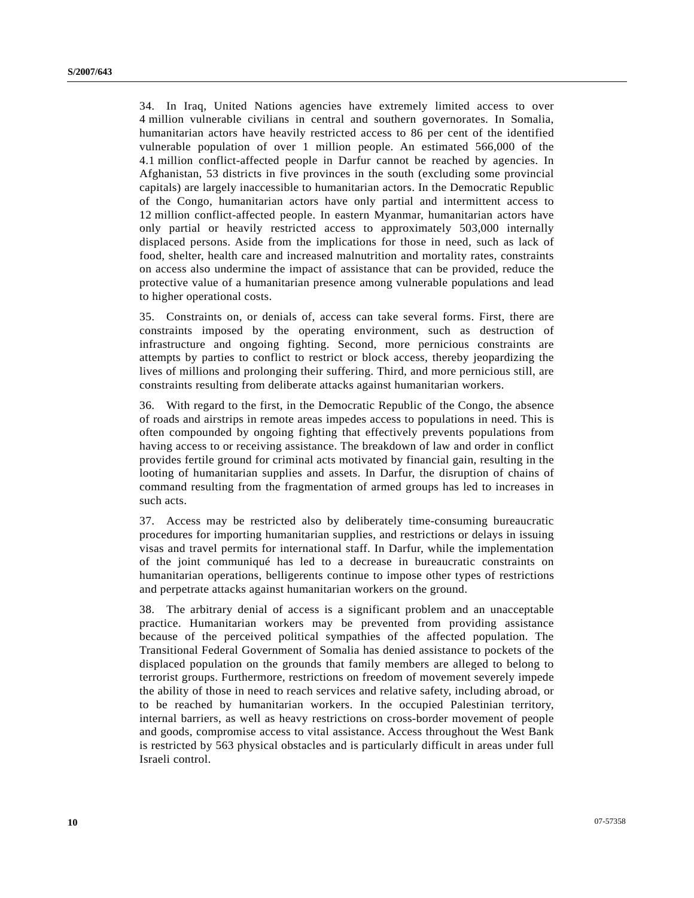34. In Iraq, United Nations agencies have extremely limited access to over 4 million vulnerable civilians in central and southern governorates. In Somalia, humanitarian actors have heavily restricted access to 86 per cent of the identified vulnerable population of over 1 million people. An estimated 566,000 of the 4.1 million conflict-affected people in Darfur cannot be reached by agencies. In Afghanistan, 53 districts in five provinces in the south (excluding some provincial capitals) are largely inaccessible to humanitarian actors. In the Democratic Republic of the Congo, humanitarian actors have only partial and intermittent access to 12 million conflict-affected people. In eastern Myanmar, humanitarian actors have only partial or heavily restricted access to approximately 503,000 internally displaced persons. Aside from the implications for those in need, such as lack of food, shelter, health care and increased malnutrition and mortality rates, constraints on access also undermine the impact of assistance that can be provided, reduce the protective value of a humanitarian presence among vulnerable populations and lead to higher operational costs.

35. Constraints on, or denials of, access can take several forms. First, there are constraints imposed by the operating environment, such as destruction of infrastructure and ongoing fighting. Second, more pernicious constraints are attempts by parties to conflict to restrict or block access, thereby jeopardizing the lives of millions and prolonging their suffering. Third, and more pernicious still, are constraints resulting from deliberate attacks against humanitarian workers.

36. With regard to the first, in the Democratic Republic of the Congo, the absence of roads and airstrips in remote areas impedes access to populations in need. This is often compounded by ongoing fighting that effectively prevents populations from having access to or receiving assistance. The breakdown of law and order in conflict provides fertile ground for criminal acts motivated by financial gain, resulting in the looting of humanitarian supplies and assets. In Darfur, the disruption of chains of command resulting from the fragmentation of armed groups has led to increases in such acts.

37. Access may be restricted also by deliberately time-consuming bureaucratic procedures for importing humanitarian supplies, and restrictions or delays in issuing visas and travel permits for international staff. In Darfur, while the implementation of the joint communiqué has led to a decrease in bureaucratic constraints on humanitarian operations, belligerents continue to impose other types of restrictions and perpetrate attacks against humanitarian workers on the ground.

38. The arbitrary denial of access is a significant problem and an unacceptable practice. Humanitarian workers may be prevented from providing assistance because of the perceived political sympathies of the affected population. The Transitional Federal Government of Somalia has denied assistance to pockets of the displaced population on the grounds that family members are alleged to belong to terrorist groups. Furthermore, restrictions on freedom of movement severely impede the ability of those in need to reach services and relative safety, including abroad, or to be reached by humanitarian workers. In the occupied Palestinian territory, internal barriers, as well as heavy restrictions on cross-border movement of people and goods, compromise access to vital assistance. Access throughout the West Bank is restricted by 563 physical obstacles and is particularly difficult in areas under full Israeli control.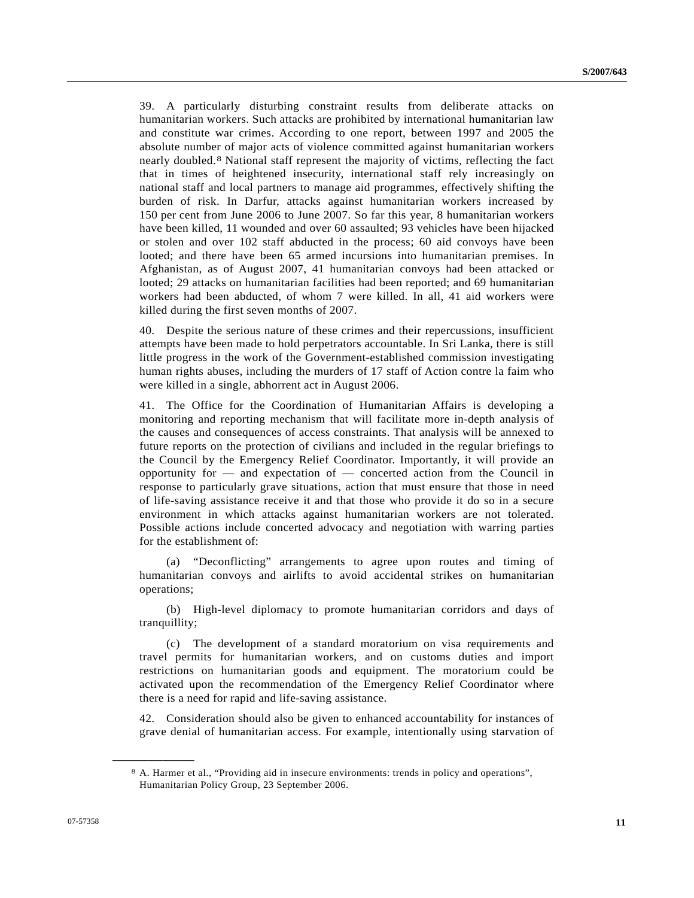39. A particularly disturbing constraint results from deliberate attacks on humanitarian workers. Such attacks are prohibited by international humanitarian law and constitute war crimes. According to one report, between 1997 and 2005 the absolute number of major acts of violence committed against humanitarian workers nearly doubled.[8](#page-10-0) National staff represent the majority of victims, reflecting the fact that in times of heightened insecurity, international staff rely increasingly on national staff and local partners to manage aid programmes, effectively shifting the burden of risk. In Darfur, attacks against humanitarian workers increased by 150 per cent from June 2006 to June 2007. So far this year, 8 humanitarian workers have been killed, 11 wounded and over 60 assaulted; 93 vehicles have been hijacked or stolen and over 102 staff abducted in the process; 60 aid convoys have been looted; and there have been 65 armed incursions into humanitarian premises. In Afghanistan, as of August 2007, 41 humanitarian convoys had been attacked or looted; 29 attacks on humanitarian facilities had been reported; and 69 humanitarian workers had been abducted, of whom 7 were killed. In all, 41 aid workers were killed during the first seven months of 2007.

40. Despite the serious nature of these crimes and their repercussions, insufficient attempts have been made to hold perpetrators accountable. In Sri Lanka, there is still little progress in the work of the Government-established commission investigating human rights abuses, including the murders of 17 staff of Action contre la faim who were killed in a single, abhorrent act in August 2006.

41. The Office for the Coordination of Humanitarian Affairs is developing a monitoring and reporting mechanism that will facilitate more in-depth analysis of the causes and consequences of access constraints. That analysis will be annexed to future reports on the protection of civilians and included in the regular briefings to the Council by the Emergency Relief Coordinator. Importantly, it will provide an opportunity for — and expectation of — concerted action from the Council in response to particularly grave situations, action that must ensure that those in need of life-saving assistance receive it and that those who provide it do so in a secure environment in which attacks against humanitarian workers are not tolerated. Possible actions include concerted advocacy and negotiation with warring parties for the establishment of:

 (a) "Deconflicting" arrangements to agree upon routes and timing of humanitarian convoys and airlifts to avoid accidental strikes on humanitarian operations;

 (b) High-level diplomacy to promote humanitarian corridors and days of tranquillity;

 (c) The development of a standard moratorium on visa requirements and travel permits for humanitarian workers, and on customs duties and import restrictions on humanitarian goods and equipment. The moratorium could be activated upon the recommendation of the Emergency Relief Coordinator where there is a need for rapid and life-saving assistance.

42. Consideration should also be given to enhanced accountability for instances of grave denial of humanitarian access. For example, intentionally using starvation of

<span id="page-10-0"></span><sup>8</sup> A. Harmer et al., "Providing aid in insecure environments: trends in policy and operations", Humanitarian Policy Group, 23 September 2006.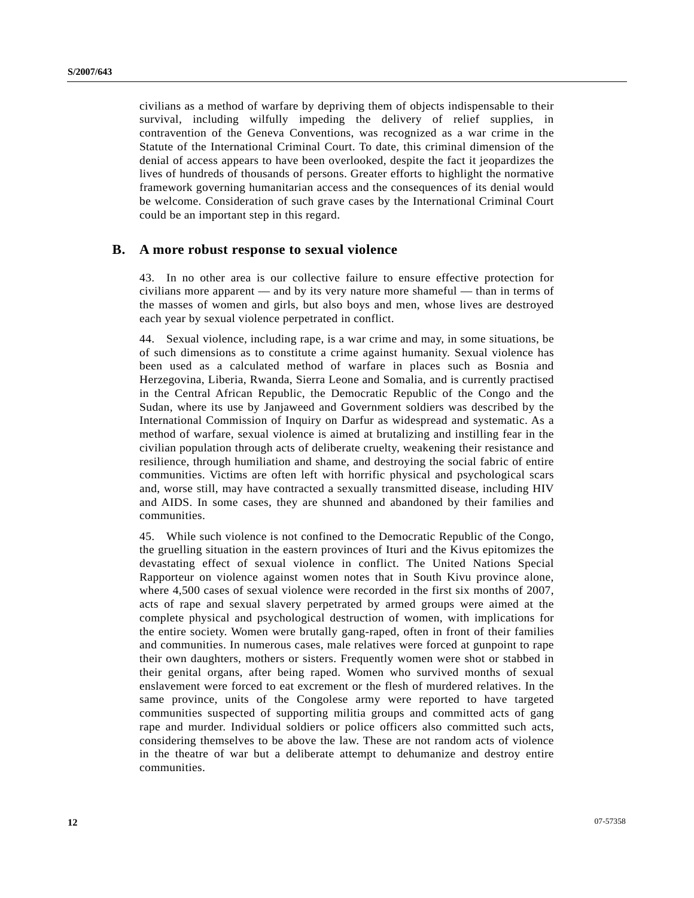civilians as a method of warfare by depriving them of objects indispensable to their survival, including wilfully impeding the delivery of relief supplies, in contravention of the Geneva Conventions, was recognized as a war crime in the Statute of the International Criminal Court. To date, this criminal dimension of the denial of access appears to have been overlooked, despite the fact it jeopardizes the lives of hundreds of thousands of persons. Greater efforts to highlight the normative framework governing humanitarian access and the consequences of its denial would be welcome. Consideration of such grave cases by the International Criminal Court could be an important step in this regard.

## **B. A more robust response to sexual violence**

43. In no other area is our collective failure to ensure effective protection for civilians more apparent — and by its very nature more shameful — than in terms of the masses of women and girls, but also boys and men, whose lives are destroyed each year by sexual violence perpetrated in conflict.

44. Sexual violence, including rape, is a war crime and may, in some situations, be of such dimensions as to constitute a crime against humanity. Sexual violence has been used as a calculated method of warfare in places such as Bosnia and Herzegovina, Liberia, Rwanda, Sierra Leone and Somalia, and is currently practised in the Central African Republic, the Democratic Republic of the Congo and the Sudan, where its use by Janjaweed and Government soldiers was described by the International Commission of Inquiry on Darfur as widespread and systematic. As a method of warfare, sexual violence is aimed at brutalizing and instilling fear in the civilian population through acts of deliberate cruelty, weakening their resistance and resilience, through humiliation and shame, and destroying the social fabric of entire communities. Victims are often left with horrific physical and psychological scars and, worse still, may have contracted a sexually transmitted disease, including HIV and AIDS. In some cases, they are shunned and abandoned by their families and communities.

45. While such violence is not confined to the Democratic Republic of the Congo, the gruelling situation in the eastern provinces of Ituri and the Kivus epitomizes the devastating effect of sexual violence in conflict. The United Nations Special Rapporteur on violence against women notes that in South Kivu province alone, where 4,500 cases of sexual violence were recorded in the first six months of 2007, acts of rape and sexual slavery perpetrated by armed groups were aimed at the complete physical and psychological destruction of women, with implications for the entire society. Women were brutally gang-raped, often in front of their families and communities. In numerous cases, male relatives were forced at gunpoint to rape their own daughters, mothers or sisters. Frequently women were shot or stabbed in their genital organs, after being raped. Women who survived months of sexual enslavement were forced to eat excrement or the flesh of murdered relatives. In the same province, units of the Congolese army were reported to have targeted communities suspected of supporting militia groups and committed acts of gang rape and murder. Individual soldiers or police officers also committed such acts, considering themselves to be above the law. These are not random acts of violence in the theatre of war but a deliberate attempt to dehumanize and destroy entire communities.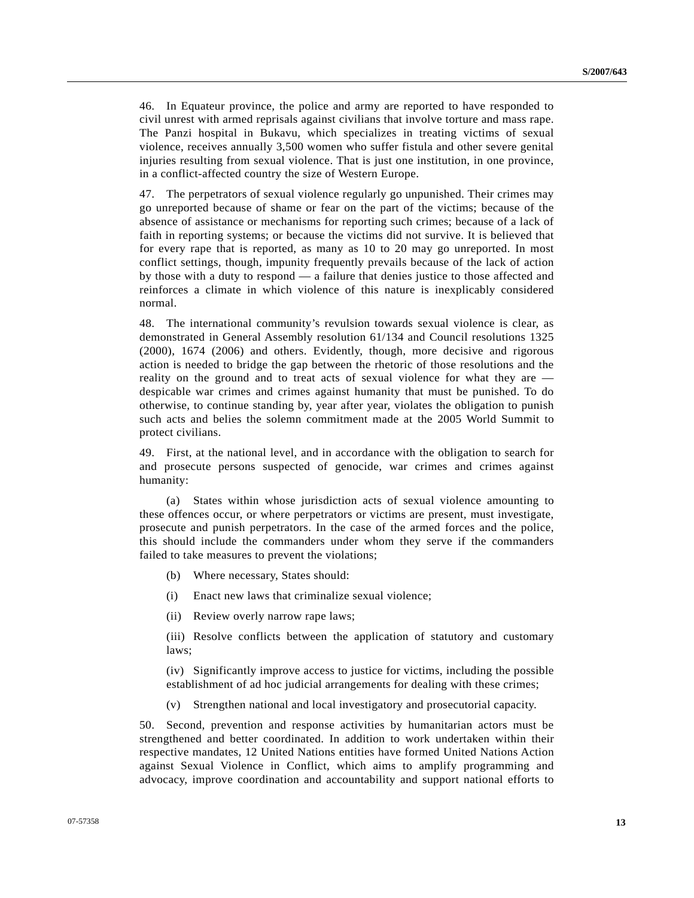46. In Equateur province, the police and army are reported to have responded to civil unrest with armed reprisals against civilians that involve torture and mass rape. The Panzi hospital in Bukavu, which specializes in treating victims of sexual violence, receives annually 3,500 women who suffer fistula and other severe genital injuries resulting from sexual violence. That is just one institution, in one province, in a conflict-affected country the size of Western Europe.

47. The perpetrators of sexual violence regularly go unpunished. Their crimes may go unreported because of shame or fear on the part of the victims; because of the absence of assistance or mechanisms for reporting such crimes; because of a lack of faith in reporting systems; or because the victims did not survive. It is believed that for every rape that is reported, as many as 10 to 20 may go unreported. In most conflict settings, though, impunity frequently prevails because of the lack of action by those with a duty to respond — a failure that denies justice to those affected and reinforces a climate in which violence of this nature is inexplicably considered normal.

48. The international community's revulsion towards sexual violence is clear, as demonstrated in General Assembly resolution 61/134 and Council resolutions 1325 (2000), 1674 (2006) and others. Evidently, though, more decisive and rigorous action is needed to bridge the gap between the rhetoric of those resolutions and the reality on the ground and to treat acts of sexual violence for what they are despicable war crimes and crimes against humanity that must be punished. To do otherwise, to continue standing by, year after year, violates the obligation to punish such acts and belies the solemn commitment made at the 2005 World Summit to protect civilians.

49. First, at the national level, and in accordance with the obligation to search for and prosecute persons suspected of genocide, war crimes and crimes against humanity:

 (a) States within whose jurisdiction acts of sexual violence amounting to these offences occur, or where perpetrators or victims are present, must investigate, prosecute and punish perpetrators. In the case of the armed forces and the police, this should include the commanders under whom they serve if the commanders failed to take measures to prevent the violations;

- (b) Where necessary, States should:
- (i) Enact new laws that criminalize sexual violence;
- (ii) Review overly narrow rape laws;

 (iii) Resolve conflicts between the application of statutory and customary laws;

 (iv) Significantly improve access to justice for victims, including the possible establishment of ad hoc judicial arrangements for dealing with these crimes;

(v) Strengthen national and local investigatory and prosecutorial capacity.

50. Second, prevention and response activities by humanitarian actors must be strengthened and better coordinated. In addition to work undertaken within their respective mandates, 12 United Nations entities have formed United Nations Action against Sexual Violence in Conflict, which aims to amplify programming and advocacy, improve coordination and accountability and support national efforts to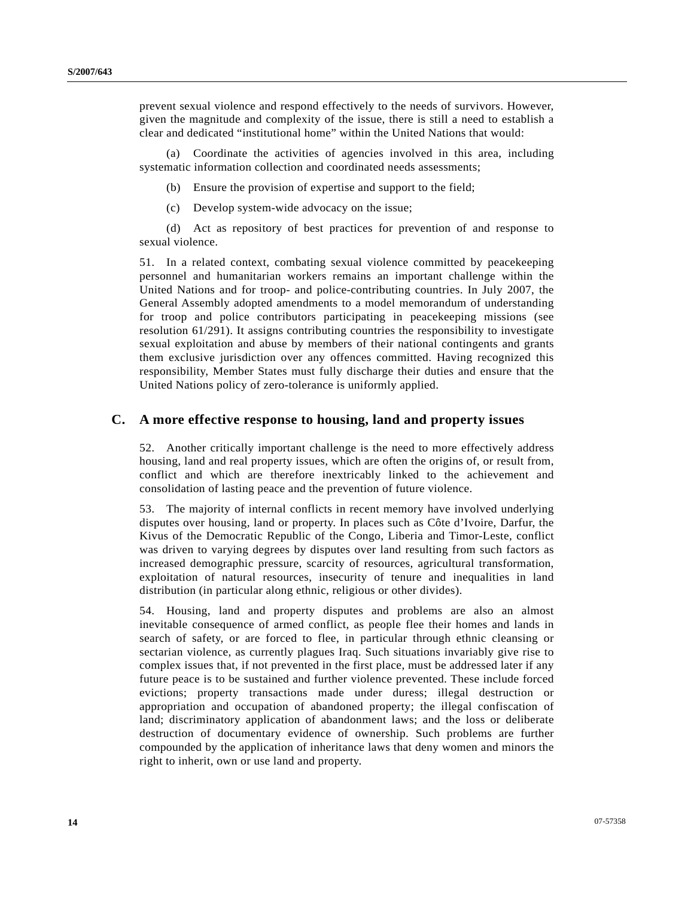prevent sexual violence and respond effectively to the needs of survivors. However, given the magnitude and complexity of the issue, there is still a need to establish a clear and dedicated "institutional home" within the United Nations that would:

 (a) Coordinate the activities of agencies involved in this area, including systematic information collection and coordinated needs assessments;

(b) Ensure the provision of expertise and support to the field;

(c) Develop system-wide advocacy on the issue;

 (d) Act as repository of best practices for prevention of and response to sexual violence.

51. In a related context, combating sexual violence committed by peacekeeping personnel and humanitarian workers remains an important challenge within the United Nations and for troop- and police-contributing countries. In July 2007, the General Assembly adopted amendments to a model memorandum of understanding for troop and police contributors participating in peacekeeping missions (see resolution 61/291). It assigns contributing countries the responsibility to investigate sexual exploitation and abuse by members of their national contingents and grants them exclusive jurisdiction over any offences committed. Having recognized this responsibility, Member States must fully discharge their duties and ensure that the United Nations policy of zero-tolerance is uniformly applied.

### **C. A more effective response to housing, land and property issues**

52. Another critically important challenge is the need to more effectively address housing, land and real property issues, which are often the origins of, or result from, conflict and which are therefore inextricably linked to the achievement and consolidation of lasting peace and the prevention of future violence.

53. The majority of internal conflicts in recent memory have involved underlying disputes over housing, land or property. In places such as Côte d'Ivoire, Darfur, the Kivus of the Democratic Republic of the Congo, Liberia and Timor-Leste, conflict was driven to varying degrees by disputes over land resulting from such factors as increased demographic pressure, scarcity of resources, agricultural transformation, exploitation of natural resources, insecurity of tenure and inequalities in land distribution (in particular along ethnic, religious or other divides).

54. Housing, land and property disputes and problems are also an almost inevitable consequence of armed conflict, as people flee their homes and lands in search of safety, or are forced to flee, in particular through ethnic cleansing or sectarian violence, as currently plagues Iraq. Such situations invariably give rise to complex issues that, if not prevented in the first place, must be addressed later if any future peace is to be sustained and further violence prevented. These include forced evictions; property transactions made under duress; illegal destruction or appropriation and occupation of abandoned property; the illegal confiscation of land; discriminatory application of abandonment laws; and the loss or deliberate destruction of documentary evidence of ownership. Such problems are further compounded by the application of inheritance laws that deny women and minors the right to inherit, own or use land and property.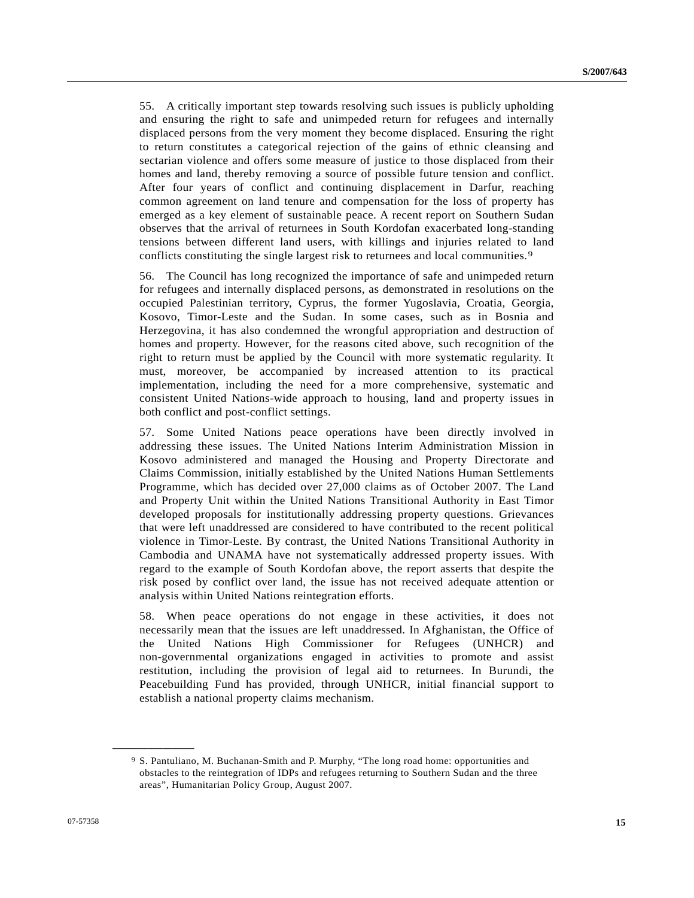55. A critically important step towards resolving such issues is publicly upholding and ensuring the right to safe and unimpeded return for refugees and internally displaced persons from the very moment they become displaced. Ensuring the right to return constitutes a categorical rejection of the gains of ethnic cleansing and sectarian violence and offers some measure of justice to those displaced from their homes and land, thereby removing a source of possible future tension and conflict. After four years of conflict and continuing displacement in Darfur, reaching common agreement on land tenure and compensation for the loss of property has emerged as a key element of sustainable peace. A recent report on Southern Sudan observes that the arrival of returnees in South Kordofan exacerbated long-standing tensions between different land users, with killings and injuries related to land conflicts constituting the single largest risk to returnees and local communities.<sup>[9](#page-14-0)</sup>

56. The Council has long recognized the importance of safe and unimpeded return for refugees and internally displaced persons, as demonstrated in resolutions on the occupied Palestinian territory, Cyprus, the former Yugoslavia, Croatia, Georgia, Kosovo, Timor-Leste and the Sudan. In some cases, such as in Bosnia and Herzegovina, it has also condemned the wrongful appropriation and destruction of homes and property. However, for the reasons cited above, such recognition of the right to return must be applied by the Council with more systematic regularity. It must, moreover, be accompanied by increased attention to its practical implementation, including the need for a more comprehensive, systematic and consistent United Nations-wide approach to housing, land and property issues in both conflict and post-conflict settings.

57. Some United Nations peace operations have been directly involved in addressing these issues. The United Nations Interim Administration Mission in Kosovo administered and managed the Housing and Property Directorate and Claims Commission, initially established by the United Nations Human Settlements Programme, which has decided over 27,000 claims as of October 2007. The Land and Property Unit within the United Nations Transitional Authority in East Timor developed proposals for institutionally addressing property questions. Grievances that were left unaddressed are considered to have contributed to the recent political violence in Timor-Leste. By contrast, the United Nations Transitional Authority in Cambodia and UNAMA have not systematically addressed property issues. With regard to the example of South Kordofan above, the report asserts that despite the risk posed by conflict over land, the issue has not received adequate attention or analysis within United Nations reintegration efforts.

58. When peace operations do not engage in these activities, it does not necessarily mean that the issues are left unaddressed. In Afghanistan, the Office of the United Nations High Commissioner for Refugees (UNHCR) and non-governmental organizations engaged in activities to promote and assist restitution, including the provision of legal aid to returnees. In Burundi, the Peacebuilding Fund has provided, through UNHCR, initial financial support to establish a national property claims mechanism.

<span id="page-14-0"></span><sup>9</sup> S. Pantuliano, M. Buchanan-Smith and P. Murphy, "The long road home: opportunities and obstacles to the reintegration of IDPs and refugees returning to Southern Sudan and the three areas", Humanitarian Policy Group, August 2007.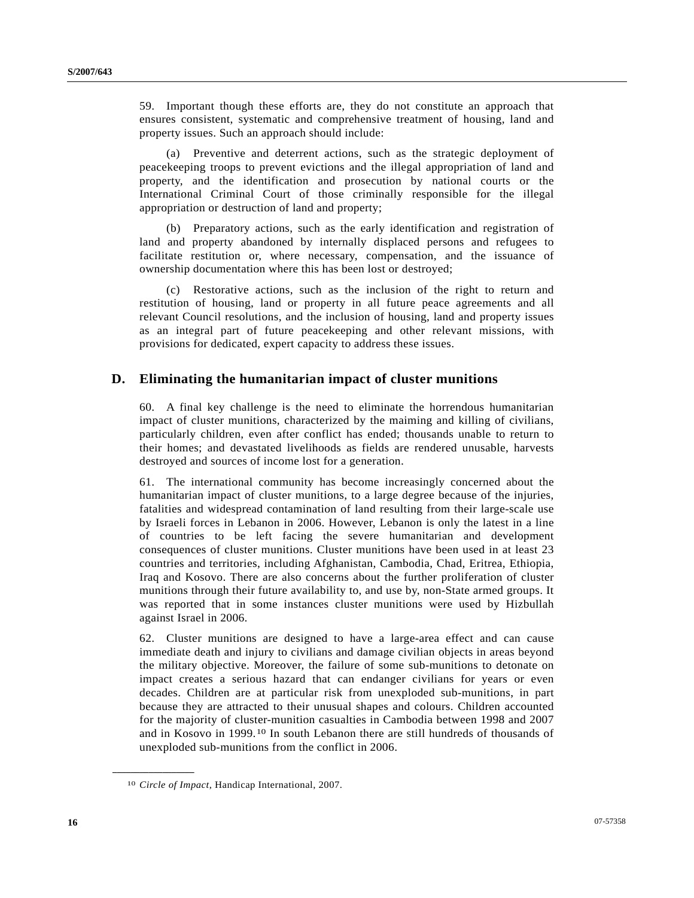<span id="page-15-1"></span>59. Important though these efforts are, they do not constitute an approach that ensures consistent, systematic and comprehensive treatment of housing, land and property issues. Such an approach should include:

 (a) Preventive and deterrent actions, such as the strategic deployment of peacekeeping troops to prevent evictions and the illegal appropriation of land and property, and the identification and prosecution by national courts or the International Criminal Court of those criminally responsible for the illegal appropriation or destruction of land and property;

 (b) Preparatory actions, such as the early identification and registration of land and property abandoned by internally displaced persons and refugees to facilitate restitution or, where necessary, compensation, and the issuance of ownership documentation where this has been lost or destroyed;

 (c) Restorative actions, such as the inclusion of the right to return and restitution of housing, land or property in all future peace agreements and all relevant Council resolutions, and the inclusion of housing, land and property issues as an integral part of future peacekeeping and other relevant missions, with provisions for dedicated, expert capacity to address these issues.

# **D. Eliminating the humanitarian impact of cluster munitions**

60. A final key challenge is the need to eliminate the horrendous humanitarian impact of cluster munitions, characterized by the maiming and killing of civilians, particularly children, even after conflict has ended; thousands unable to return to their homes; and devastated livelihoods as fields are rendered unusable, harvests destroyed and sources of income lost for a generation.

61. The international community has become increasingly concerned about the humanitarian impact of cluster munitions, to a large degree because of the injuries, fatalities and widespread contamination of land resulting from their large-scale use by Israeli forces in Lebanon in 2006. However, Lebanon is only the latest in a line of countries to be left facing the severe humanitarian and development consequences of cluster munitions. Cluster munitions have been used in at least 23 countries and territories, including Afghanistan, Cambodia, Chad, Eritrea, Ethiopia, Iraq and Kosovo. There are also concerns about the further proliferation of cluster munitions through their future availability to, and use by, non-State armed groups. It was reported that in some instances cluster munitions were used by Hizbullah against Israel in 2006.

62. Cluster munitions are designed to have a large-area effect and can cause immediate death and injury to civilians and damage civilian objects in areas beyond the military objective. Moreover, the failure of some sub-munitions to detonate on impact creates a serious hazard that can endanger civilians for years or even decades. Children are at particular risk from unexploded sub-munitions, in part because they are attracted to their unusual shapes and colours. Children accounted for the majority of cluster-munition casualties in Cambodia between 1998 and 2007 and in Kosovo in 1999.[10](#page-15-0) In south Lebanon there are still hundreds of thousands of unexploded sub-munitions from the conflict in 2006.

<span id="page-15-0"></span><sup>10</sup> *Circle of Impact*, Handicap International, 2007.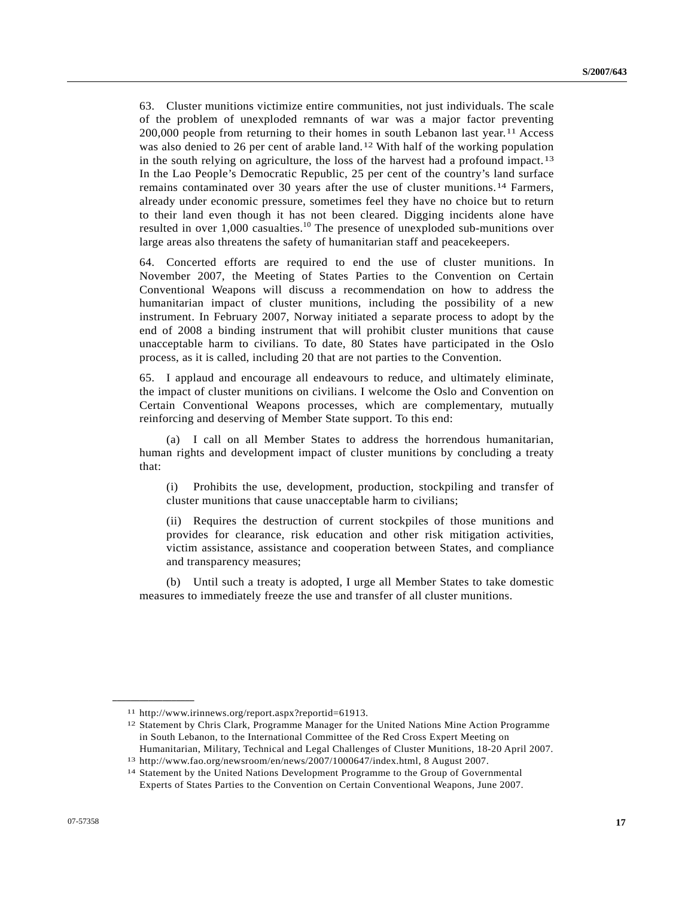63. Cluster munitions victimize entire communities, not just individuals. The scale of the problem of unexploded remnants of war was a major factor preventing 200,000 people from returning to their homes in south Lebanon last year.[1](#page-16-0)1 Access was also denied to 26 per cent of arable land.<sup>[1](#page-16-1)2</sup> With half of the working population in the south relying on agriculture, the loss of the harvest had a profound impact.[13](#page-16-2) In the Lao People's Democratic Republic, 25 per cent of the country's land surface remains contaminated over 30 years after the use of cluster munitions.[14](#page-16-3) Farmers, already under economic pressure, sometimes feel they have no choice but to return to their land even though it has not been cleared. Digging incidents alone have resulted in over  $1,000$  casualties.<sup>10</sup> The presence of unexploded sub-munitions over large areas also threatens the safety of humanitarian staff and peacekeepers.

64. Concerted efforts are required to end the use of cluster munitions. In November 2007, the Meeting of States Parties to the Convention on Certain Conventional Weapons will discuss a recommendation on how to address the humanitarian impact of cluster munitions, including the possibility of a new instrument. In February 2007, Norway initiated a separate process to adopt by the end of 2008 a binding instrument that will prohibit cluster munitions that cause unacceptable harm to civilians. To date, 80 States have participated in the Oslo process, as it is called, including 20 that are not parties to the Convention.

65. I applaud and encourage all endeavours to reduce, and ultimately eliminate, the impact of cluster munitions on civilians. I welcome the Oslo and Convention on Certain Conventional Weapons processes, which are complementary, mutually reinforcing and deserving of Member State support. To this end:

 (a) I call on all Member States to address the horrendous humanitarian, human rights and development impact of cluster munitions by concluding a treaty that:

 (i) Prohibits the use, development, production, stockpiling and transfer of cluster munitions that cause unacceptable harm to civilians;

 (ii) Requires the destruction of current stockpiles of those munitions and provides for clearance, risk education and other risk mitigation activities, victim assistance, assistance and cooperation between States, and compliance and transparency measures;

 (b) Until such a treaty is adopted, I urge all Member States to take domestic measures to immediately freeze the use and transfer of all cluster munitions.

<span id="page-16-1"></span><span id="page-16-0"></span>

<sup>11</sup> http://www.irinnews.org/report.aspx?reportid=61913. 12 Statement by Chris Clark, Programme Manager for the United Nations Mine Action Programme in South Lebanon, to the International Committee of the Red Cross Expert Meeting on Humanitarian, Military, Technical and Legal Challenges of Cluster Munitions, 18-20 April 2007.

<span id="page-16-3"></span><span id="page-16-2"></span><sup>13</sup> http://www.fao.org/newsroom/en/news/2007/1000647/index.html, 8 August 2007. 14 Statement by the United Nations Development Programme to the Group of Governmental Experts of States Parties to the Convention on Certain Conventional Weapons, June 2007.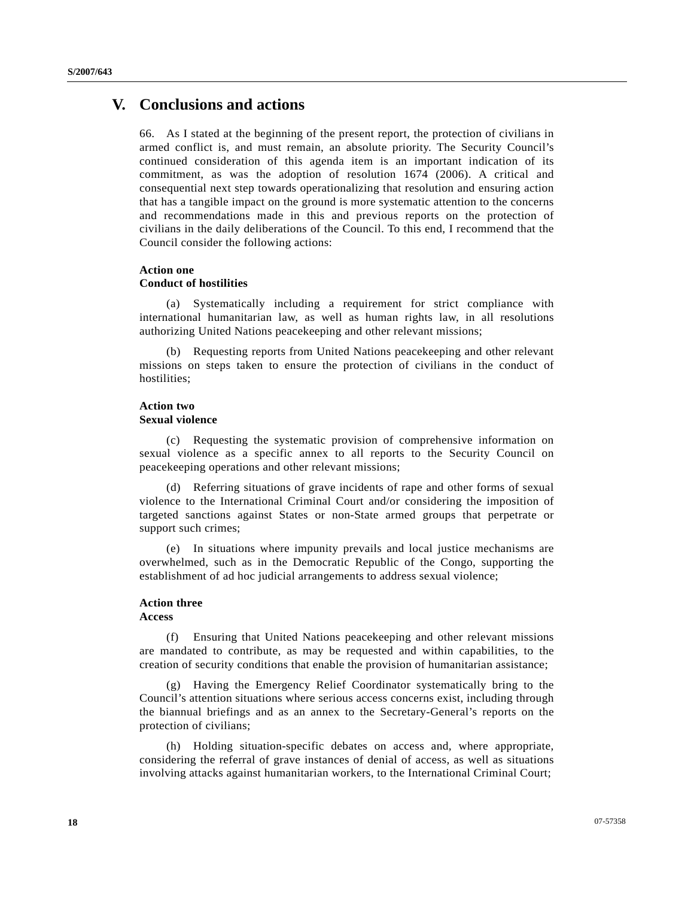# **V. Conclusions and actions**

66. As I stated at the beginning of the present report, the protection of civilians in armed conflict is, and must remain, an absolute priority. The Security Council's continued consideration of this agenda item is an important indication of its commitment, as was the adoption of resolution 1674 (2006). A critical and consequential next step towards operationalizing that resolution and ensuring action that has a tangible impact on the ground is more systematic attention to the concerns and recommendations made in this and previous reports on the protection of civilians in the daily deliberations of the Council. To this end, I recommend that the Council consider the following actions:

#### **Action one Conduct of hostilities**

 (a) Systematically including a requirement for strict compliance with international humanitarian law, as well as human rights law, in all resolutions authorizing United Nations peacekeeping and other relevant missions;

 (b) Requesting reports from United Nations peacekeeping and other relevant missions on steps taken to ensure the protection of civilians in the conduct of hostilities;

# **Action two**

### **Sexual violence**

 (c) Requesting the systematic provision of comprehensive information on sexual violence as a specific annex to all reports to the Security Council on peacekeeping operations and other relevant missions;

 (d) Referring situations of grave incidents of rape and other forms of sexual violence to the International Criminal Court and/or considering the imposition of targeted sanctions against States or non-State armed groups that perpetrate or support such crimes;

 (e) In situations where impunity prevails and local justice mechanisms are overwhelmed, such as in the Democratic Republic of the Congo, supporting the establishment of ad hoc judicial arrangements to address sexual violence;

# **Action three**

### **Access**

 (f) Ensuring that United Nations peacekeeping and other relevant missions are mandated to contribute, as may be requested and within capabilities, to the creation of security conditions that enable the provision of humanitarian assistance;

 (g) Having the Emergency Relief Coordinator systematically bring to the Council's attention situations where serious access concerns exist, including through the biannual briefings and as an annex to the Secretary-General's reports on the protection of civilians;

 (h) Holding situation-specific debates on access and, where appropriate, considering the referral of grave instances of denial of access, as well as situations involving attacks against humanitarian workers, to the International Criminal Court;